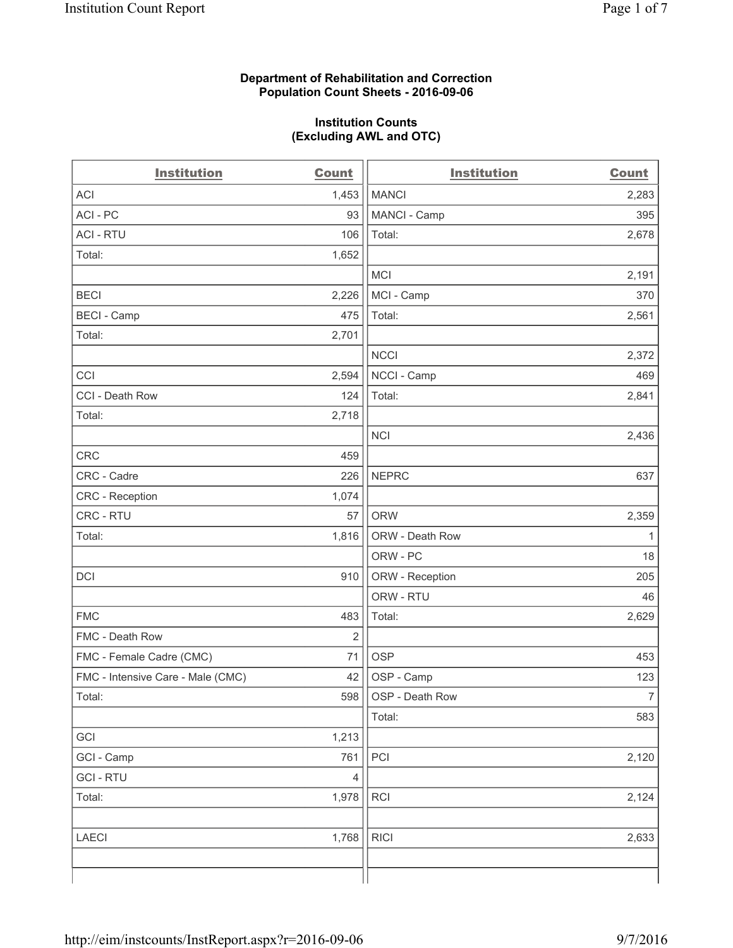#### **Department of Rehabilitation and Correction Population Count Sheets - 2016-09-06**

#### **Institution Counts (Excluding AWL and OTC)**

| <b>Institution</b>                | <b>Count</b>   | <b>Institution</b> | <b>Count</b>   |
|-----------------------------------|----------------|--------------------|----------------|
| <b>ACI</b>                        | 1,453          | <b>MANCI</b>       | 2,283          |
| ACI - PC                          | 93             | MANCI - Camp       | 395            |
| <b>ACI - RTU</b>                  | 106            | Total:             | 2,678          |
| Total:                            | 1,652          |                    |                |
|                                   |                | <b>MCI</b>         | 2,191          |
| <b>BECI</b>                       | 2,226          | MCI - Camp         | 370            |
| <b>BECI</b> - Camp                | 475            | Total:             | 2,561          |
| Total:                            | 2,701          |                    |                |
|                                   |                | <b>NCCI</b>        | 2,372          |
| CCI                               | 2,594          | NCCI - Camp        | 469            |
| CCI - Death Row                   | 124            | Total:             | 2,841          |
| Total:                            | 2,718          |                    |                |
|                                   |                | <b>NCI</b>         | 2,436          |
| <b>CRC</b>                        | 459            |                    |                |
| CRC - Cadre                       | 226            | <b>NEPRC</b>       | 637            |
| CRC - Reception                   | 1,074          |                    |                |
| CRC - RTU                         | 57             | <b>ORW</b>         | 2,359          |
| Total:                            | 1,816          | ORW - Death Row    | $\mathbf{1}$   |
|                                   |                | ORW - PC           | 18             |
| DCI                               | 910            | ORW - Reception    | 205            |
|                                   |                | ORW - RTU          | 46             |
| <b>FMC</b>                        | 483            | Total:             | 2,629          |
| FMC - Death Row                   | $\overline{2}$ |                    |                |
| FMC - Female Cadre (CMC)          | 71             | <b>OSP</b>         | 453            |
| FMC - Intensive Care - Male (CMC) | 42             | OSP - Camp         | 123            |
| Total:                            | 598            | OSP - Death Row    | $\overline{7}$ |
|                                   |                | Total:             | 583            |
| GCI                               | 1,213          |                    |                |
| GCI - Camp                        | 761            | PCI                | 2,120          |
| <b>GCI - RTU</b>                  | 4              |                    |                |
| Total:                            | 1,978          | <b>RCI</b>         | 2,124          |
|                                   |                |                    |                |
| <b>LAECI</b>                      | 1,768          | <b>RICI</b>        | 2,633          |
|                                   |                |                    |                |
|                                   |                |                    |                |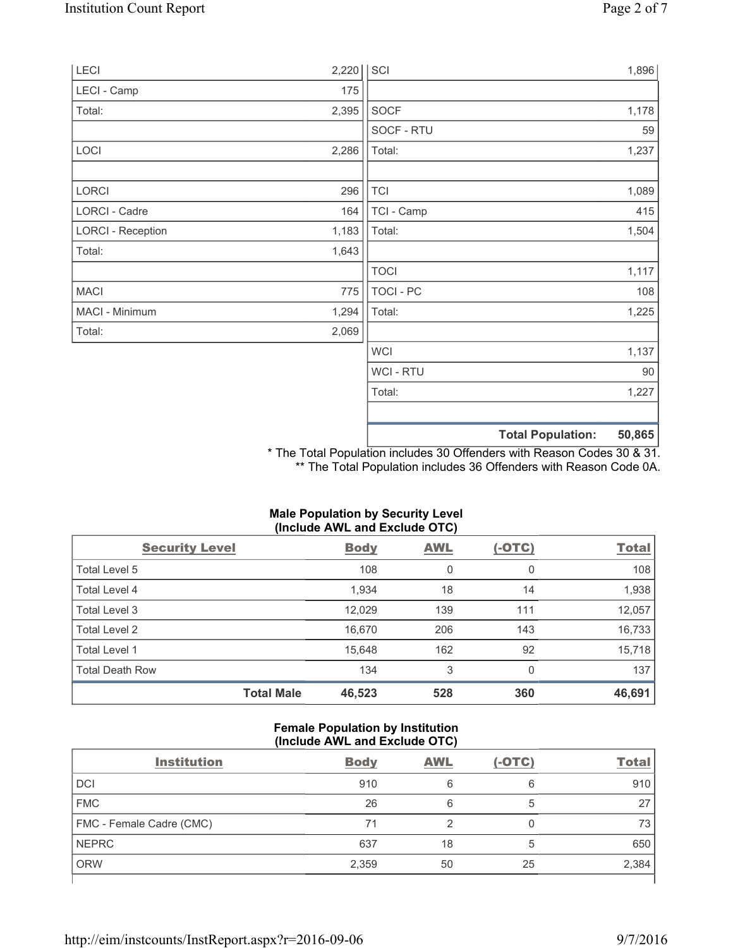| LECI                     | 2,220 | SCI         |                          | 1,896  |
|--------------------------|-------|-------------|--------------------------|--------|
| LECI - Camp              | 175   |             |                          |        |
| Total:                   | 2,395 | SOCF        |                          | 1,178  |
|                          |       | SOCF - RTU  |                          | 59     |
| LOCI                     | 2,286 | Total:      |                          | 1,237  |
| LORCI                    | 296   | <b>TCI</b>  |                          | 1,089  |
| LORCI - Cadre            | 164   | TCI - Camp  |                          | 415    |
| <b>LORCI - Reception</b> | 1,183 | Total:      |                          | 1,504  |
| Total:                   | 1,643 |             |                          |        |
|                          |       | <b>TOCI</b> |                          | 1,117  |
| <b>MACI</b>              | 775   | TOCI - PC   |                          | 108    |
| MACI - Minimum           | 1,294 | Total:      |                          | 1,225  |
| Total:                   | 2,069 |             |                          |        |
|                          |       | <b>WCI</b>  |                          | 1,137  |
|                          |       | WCI - RTU   |                          | 90     |
|                          |       | Total:      |                          | 1,227  |
|                          |       |             | <b>Total Population:</b> | 50,865 |

\* The Total Population includes 30 Offenders with Reason Codes 30 & 31. \*\* The Total Population includes 36 Offenders with Reason Code 0A.

| (Include AWL and Exclude OTC) |                   |             |            |               |              |
|-------------------------------|-------------------|-------------|------------|---------------|--------------|
| <b>Security Level</b>         |                   | <b>Body</b> | <b>AWL</b> | <u>(-OTC)</u> | <b>Total</b> |
| Total Level 5                 |                   | 108         | 0          | 0             | 108          |
| Total Level 4                 |                   | 1,934       | 18         | 14            | 1,938        |
| Total Level 3                 |                   | 12,029      | 139        | 111           | 12,057       |
| Total Level 2                 |                   | 16,670      | 206        | 143           | 16,733       |
| Total Level 1                 |                   | 15,648      | 162        | 92            | 15,718       |
| <b>Total Death Row</b>        |                   | 134         | 3          | 0             | 137          |
|                               | <b>Total Male</b> | 46,523      | 528        | 360           | 46,691       |

# **Male Population by Security Level**

# **Female Population by Institution (Include AWL and Exclude OTC)**

| <b>Institution</b>       | <b>Body</b> | <b>AWL</b> | $(-OTC)$ | <b>Total</b> |
|--------------------------|-------------|------------|----------|--------------|
| <b>DCI</b>               | 910         | 6          | 6        | 910          |
| <b>FMC</b>               | 26          | 6          | b        | 27           |
| FMC - Female Cadre (CMC) | 71          |            | 0        | 73           |
| <b>NEPRC</b>             | 637         | 18         | 5        | 650          |
| <b>ORW</b>               | 2,359       | 50         | 25       | 2,384        |
|                          |             |            |          |              |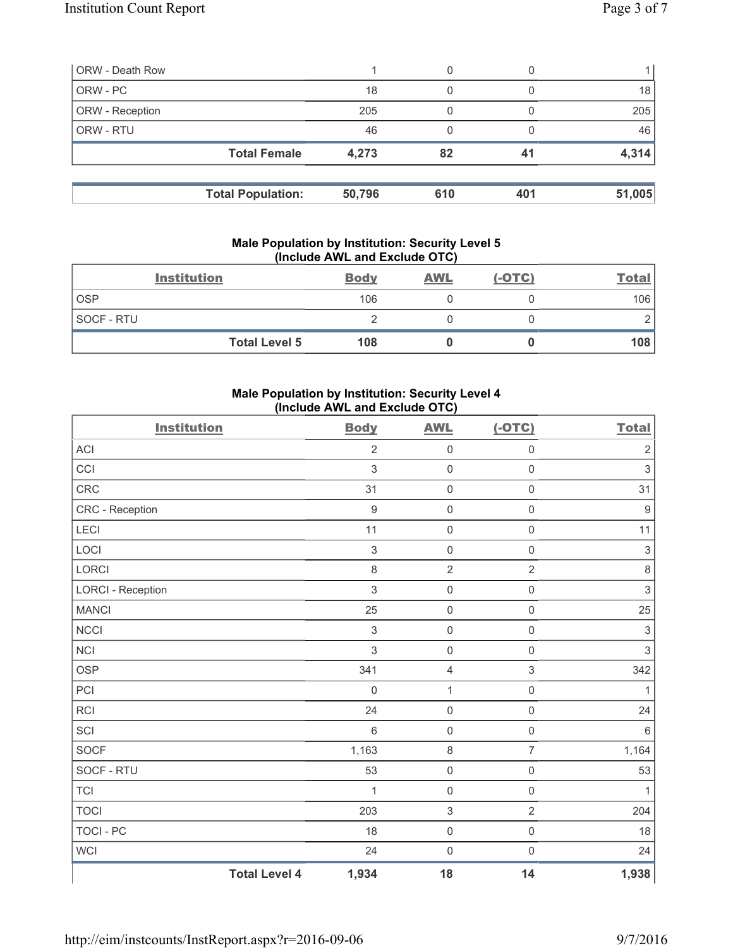| <b>ORW - Death Row</b> |                          |        | 0   |     |        |
|------------------------|--------------------------|--------|-----|-----|--------|
| ORW - PC               |                          | 18     | 0   |     | 18     |
| ORW - Reception        |                          | 205    | 0   |     | 205    |
| ORW - RTU              |                          | 46     | 0   |     | 46     |
|                        | <b>Total Female</b>      | 4,273  | 82  | 41  | 4,314  |
|                        | <b>Total Population:</b> | 50,796 | 610 | 401 | 51,005 |

#### **Male Population by Institution: Security Level 5 (Include AWL and Exclude OTC)**

|            | <b>Institution</b>   | <b>Body</b> | <b>AWL</b> | $(-OTC)$ | <b>Total</b> |
|------------|----------------------|-------------|------------|----------|--------------|
| <b>OSP</b> |                      | 106         |            |          | 106          |
| SOCF - RTU |                      |             |            |          |              |
|            | <b>Total Level 5</b> | 108         |            |          | 108          |

# **Male Population by Institution: Security Level 4 (Include AWL and Exclude OTC)**

| <b>Institution</b>       |                      | <b>Body</b>    | <b>AWL</b>                | $(-OTC)$            | <b>Total</b>              |
|--------------------------|----------------------|----------------|---------------------------|---------------------|---------------------------|
| <b>ACI</b>               |                      | $\overline{2}$ | $\mathbf 0$               | $\mathsf 0$         | $\overline{2}$            |
| CCI                      |                      | 3              | $\mathsf{O}\xspace$       | $\mathsf{O}\xspace$ | $\,$ 3 $\,$               |
| <b>CRC</b>               |                      | 31             | $\mathsf{O}\xspace$       | $\mathsf{O}\xspace$ | 31                        |
| CRC - Reception          |                      | 9              | $\mathsf{O}\xspace$       | $\mathsf{O}\xspace$ | $\boldsymbol{9}$          |
| LECI                     |                      | 11             | $\mathsf 0$               | $\mathsf{O}\xspace$ | 11                        |
| LOCI                     |                      | 3              | $\mathbf 0$               | $\mathsf{O}\xspace$ | $\ensuremath{\mathsf{3}}$ |
| LORCI                    |                      | 8              | $\overline{2}$            | $\overline{2}$      | $\,8\,$                   |
| <b>LORCI - Reception</b> |                      | 3              | $\mathsf 0$               | $\mathsf{O}\xspace$ | $\ensuremath{\mathsf{3}}$ |
| <b>MANCI</b>             |                      | 25             | $\mathsf{O}\xspace$       | $\mathsf{O}\xspace$ | 25                        |
| <b>NCCI</b>              |                      | 3              | $\mathsf{O}\xspace$       | $\mathsf{O}\xspace$ | $\mathfrak{S}$            |
| <b>NCI</b>               |                      | 3              | $\mathsf 0$               | $\mathsf{O}\xspace$ | $\mathfrak{S}$            |
| <b>OSP</b>               |                      | 341            | $\overline{4}$            | $\mathfrak{S}$      | 342                       |
| PCI                      |                      | $\mathbf 0$    | $\mathbf 1$               | $\mathsf{O}\xspace$ | $\mathbf{1}$              |
| <b>RCI</b>               |                      | 24             | $\mathsf 0$               | $\mathsf{O}\xspace$ | 24                        |
| SCI                      |                      | $6\,$          | $\mathsf 0$               | $\mathsf{O}\xspace$ | $\,6$                     |
| SOCF                     |                      | 1,163          | $\,8\,$                   | $\overline{7}$      | 1,164                     |
| SOCF - RTU               |                      | 53             | $\mathsf{O}\xspace$       | $\mathsf{O}\xspace$ | 53                        |
| $\sf{TCl}$               |                      | 1              | $\mathsf{O}\xspace$       | $\mathsf{O}\xspace$ | $\mathbf{1}$              |
| <b>TOCI</b>              |                      | 203            | $\ensuremath{\mathsf{3}}$ | $\overline{2}$      | 204                       |
| <b>TOCI - PC</b>         |                      | 18             | $\mathsf 0$               | $\mathsf{O}\xspace$ | 18                        |
| <b>WCI</b>               |                      | 24             | $\mathsf 0$               | $\mathsf{O}\xspace$ | 24                        |
|                          | <b>Total Level 4</b> | 1,934          | 18                        | 14                  | 1,938                     |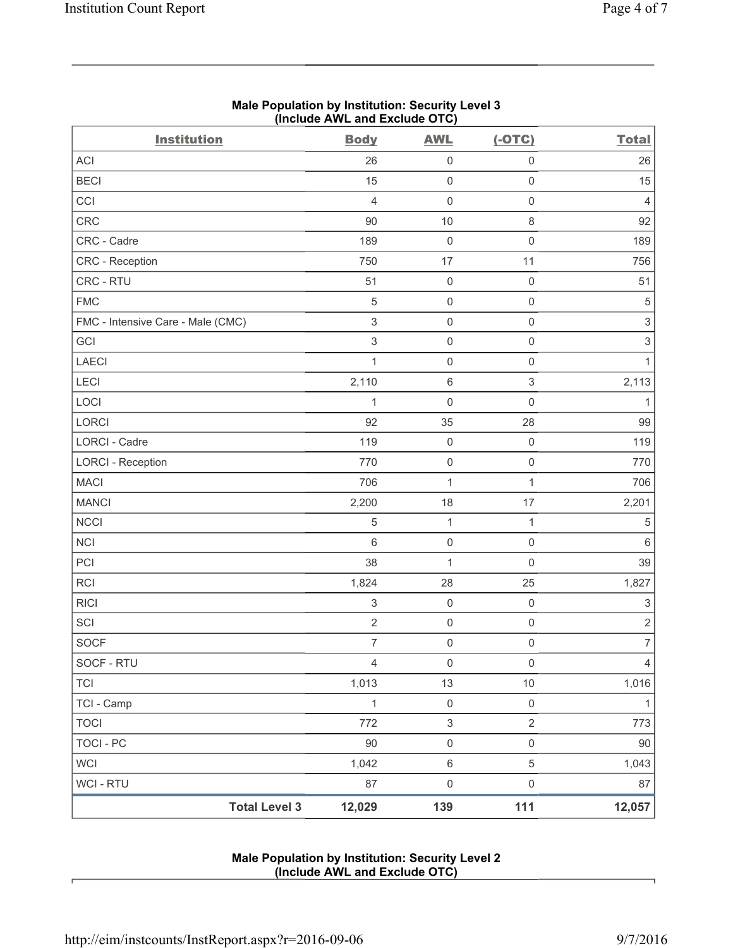| <b>Institution</b>                | (include AWL and Exclude OTC)<br><b>Body</b> | <b>AWL</b>                | $(-OTC)$                  | <b>Total</b>              |
|-----------------------------------|----------------------------------------------|---------------------------|---------------------------|---------------------------|
| ACI                               | 26                                           | $\mathsf 0$               | $\mathsf{O}\xspace$       | 26                        |
| <b>BECI</b>                       | 15                                           | $\mathsf 0$               | $\mathsf 0$               | 15                        |
| CCI                               | $\overline{4}$                               | $\mathsf 0$               | $\mathsf{O}\xspace$       | $\overline{4}$            |
| CRC                               | $90\,$                                       | $10$                      | $\,8\,$                   | 92                        |
| CRC - Cadre                       | 189                                          | $\mathsf 0$               | $\mathsf{O}\xspace$       | 189                       |
| CRC - Reception                   | 750                                          | 17                        | 11                        | 756                       |
| CRC - RTU                         | 51                                           | $\mathsf 0$               | $\mathsf{O}\xspace$       | 51                        |
| <b>FMC</b>                        | 5                                            | $\mathsf 0$               | $\mathsf{O}\xspace$       | 5                         |
| FMC - Intensive Care - Male (CMC) | $\ensuremath{\mathsf{3}}$                    | $\mathsf 0$               | $\mathsf{O}\xspace$       | $\,$ 3 $\,$               |
| GCI                               | $\mathsf 3$                                  | $\mathsf 0$               | $\mathsf{O}\xspace$       | 3                         |
| <b>LAECI</b>                      | $\mathbf{1}$                                 | $\mathsf{O}\xspace$       | $\mathsf{O}\xspace$       | $\mathbf{1}$              |
| LECI                              | 2,110                                        | $\,6\,$                   | $\ensuremath{\mathsf{3}}$ | 2,113                     |
| LOCI                              | 1                                            | $\mathsf 0$               | $\mathsf{O}\xspace$       | $\mathbf{1}$              |
| LORCI                             | 92                                           | 35                        | 28                        | 99                        |
| LORCI - Cadre                     | 119                                          | $\mathbf 0$               | $\mathsf 0$               | 119                       |
| <b>LORCI - Reception</b>          | 770                                          | $\mathsf 0$               | $\mathsf{O}\xspace$       | 770                       |
| <b>MACI</b>                       | 706                                          | 1                         | $\mathbf{1}$              | 706                       |
| <b>MANCI</b>                      | 2,200                                        | 18                        | 17                        | 2,201                     |
| <b>NCCI</b>                       | 5                                            | $\mathbf 1$               | 1                         | 5                         |
| <b>NCI</b>                        | 6                                            | $\mathsf 0$               | $\mathsf{O}\xspace$       | $\,6$                     |
| PCI                               | 38                                           | $\mathbf 1$               | $\mathsf 0$               | 39                        |
| <b>RCI</b>                        | 1,824                                        | 28                        | 25                        | 1,827                     |
| <b>RICI</b>                       | $\ensuremath{\mathsf{3}}$                    | $\mathsf 0$               | $\mathsf{O}\xspace$       | $\ensuremath{\mathsf{3}}$ |
| SCI                               | $\sqrt{2}$                                   | $\mathsf{O}\xspace$       | $\mathsf{O}\xspace$       | $\overline{c}$            |
| <b>SOCF</b>                       | $\overline{7}$                               | $\mathsf{O}\xspace$       | $\mathsf{O}\xspace$       | $\overline{7}$            |
| SOCF - RTU                        | $\overline{4}$                               | $\mathsf{O}\xspace$       | $\mathsf{O}\xspace$       | $\overline{4}$            |
| <b>TCI</b>                        | 1,013                                        | 13                        | $10$                      | 1,016                     |
| TCI - Camp                        | $\mathbf 1$                                  | $\mathsf{O}\xspace$       | $\mathsf{O}\xspace$       | $\mathbf{1}$              |
| <b>TOCI</b>                       | 772                                          | $\ensuremath{\mathsf{3}}$ | $\sqrt{2}$                | 773                       |
| <b>TOCI - PC</b>                  | 90                                           | $\mathsf{O}\xspace$       | $\mathsf{O}\xspace$       | 90                        |
| <b>WCI</b>                        | 1,042                                        | $\,6\,$                   | $\sqrt{5}$                | 1,043                     |
| WCI - RTU                         | 87                                           | $\mathsf{O}\xspace$       | $\mathsf{O}\xspace$       | 87                        |
| <b>Total Level 3</b>              | 12,029                                       | 139                       | 111                       | 12,057                    |

## **Male Population by Institution: Security Level 3 (Include AWL and Exclude OTC)**

# **Male Population by Institution: Security Level 2 (Include AWL and Exclude OTC)**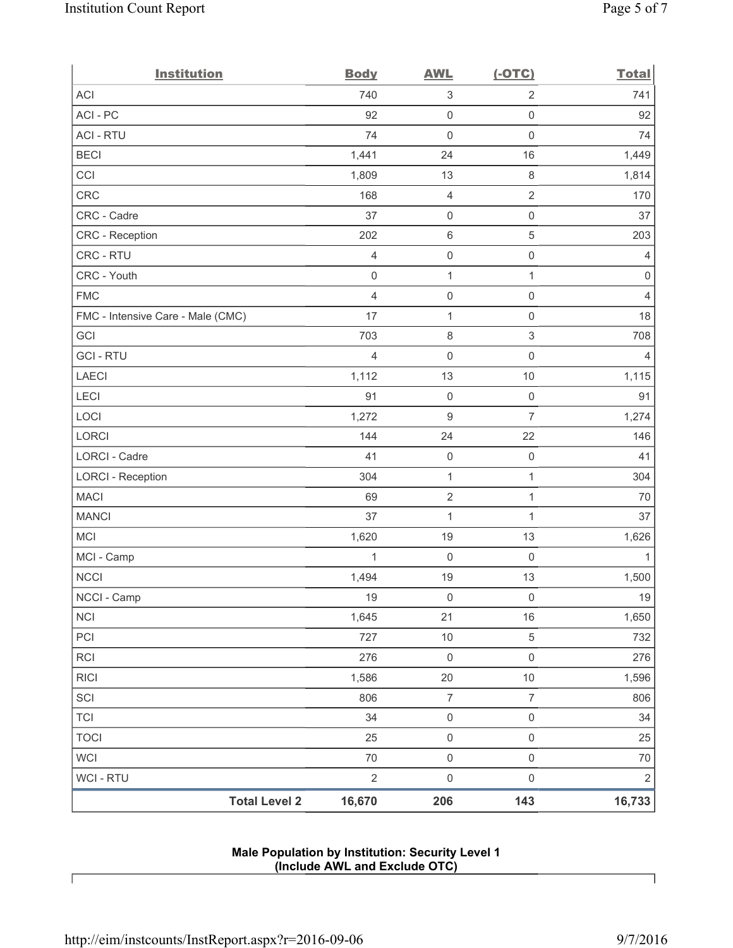| <b>Institution</b>                | <b>Body</b>    | <b>AWL</b>                | $(-OTC)$            | <b>Total</b>   |
|-----------------------------------|----------------|---------------------------|---------------------|----------------|
| ACI                               | 740            | $\ensuremath{\mathsf{3}}$ | $\overline{2}$      | 741            |
| ACI - PC                          | 92             | $\mathsf 0$               | $\mathsf{O}\xspace$ | 92             |
| <b>ACI - RTU</b>                  | 74             | 0                         | $\mathsf 0$         | 74             |
| <b>BECI</b>                       | 1,441          | 24                        | 16                  | 1,449          |
| CCI                               | 1,809          | 13                        | $\,8\,$             | 1,814          |
| <b>CRC</b>                        | 168            | $\overline{\mathbf{4}}$   | $\overline{2}$      | 170            |
| CRC - Cadre                       | 37             | $\mathsf{O}\xspace$       | $\mathsf{O}\xspace$ | 37             |
| CRC - Reception                   | 202            | $\,6\,$                   | $\sqrt{5}$          | 203            |
| CRC - RTU                         | $\overline{4}$ | $\mathsf 0$               | $\mathsf{O}\xspace$ | $\overline{4}$ |
| CRC - Youth                       | $\mathbf 0$    | $\mathbf{1}$              | $\mathbf{1}$        | $\mathsf 0$    |
| <b>FMC</b>                        | $\overline{4}$ | $\mathsf 0$               | $\mathsf 0$         | $\overline{4}$ |
| FMC - Intensive Care - Male (CMC) | 17             | $\mathbf{1}$              | $\mathsf{O}\xspace$ | 18             |
| GCI                               | 703            | $\,8\,$                   | $\mathfrak{S}$      | 708            |
| <b>GCI-RTU</b>                    | $\overline{4}$ | 0                         | $\mathsf 0$         | $\overline{4}$ |
| LAECI                             | 1,112          | 13                        | $10$                | 1,115          |
| LECI                              | 91             | $\mathsf{O}\xspace$       | $\mathsf 0$         | 91             |
| LOCI                              | 1,272          | 9                         | $\overline{7}$      | 1,274          |
| LORCI                             | 144            | 24                        | 22                  | 146            |
| LORCI - Cadre                     | 41             | $\mathsf{O}\xspace$       | $\mathsf 0$         | 41             |
| <b>LORCI - Reception</b>          | 304            | $\mathbf{1}$              | $\mathbf{1}$        | 304            |
| <b>MACI</b>                       | 69             | $\mathbf 2$               | $\mathbf{1}$        | $70$           |
| <b>MANCI</b>                      | 37             | $\mathbf{1}$              | $\mathbf{1}$        | 37             |
| MCI                               | 1,620          | 19                        | 13                  | 1,626          |
| MCI - Camp                        | 1              | $\mathsf 0$               | $\mathsf 0$         | $\mathbf{1}$   |
| <b>NCCI</b>                       | 1,494          | 19                        | 13                  | 1,500          |
| NCCI - Camp                       | 19             | $\mathsf{O}\xspace$       | $\mathsf{O}\xspace$ | $19$           |
| <b>NCI</b>                        | 1,645          | 21                        | 16                  | 1,650          |
| PCI                               | 727            | $10$                      | $\sqrt{5}$          | 732            |
| RCI                               | 276            | $\mathsf{O}\xspace$       | $\mathsf{O}\xspace$ | 276            |
| <b>RICI</b>                       | 1,586          | $20\,$                    | $10$                | 1,596          |
| SCI                               | 806            | $\overline{7}$            | $\overline{7}$      | 806            |
| <b>TCI</b>                        | 34             | $\mathsf 0$               | $\mathsf 0$         | 34             |
| <b>TOCI</b>                       | 25             | $\mathsf 0$               | $\mathsf{O}\xspace$ | 25             |
| <b>WCI</b>                        | $70\,$         | $\mathsf{O}\xspace$       | $\mathsf{O}\xspace$ | $70\,$         |
| <b>WCI - RTU</b>                  | $\sqrt{2}$     | $\mathsf{O}\xspace$       | $\mathsf{O}\xspace$ | $\sqrt{2}$     |
| <b>Total Level 2</b>              | 16,670         | 206                       | 143                 | 16,733         |

## **Male Population by Institution: Security Level 1 (Include AWL and Exclude OTC)**

 $\lceil$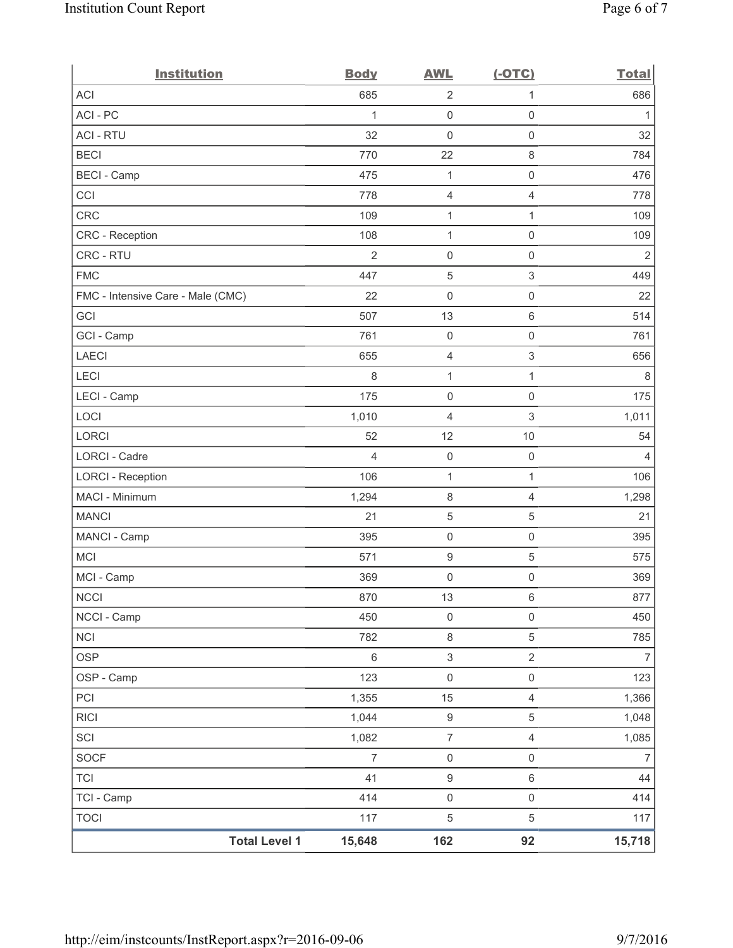| <b>Institution</b>                | <b>Body</b>    | <b>AWL</b>          | $(-OTC)$                  | <b>Total</b>   |
|-----------------------------------|----------------|---------------------|---------------------------|----------------|
| <b>ACI</b>                        | 685            | $\overline{2}$      | 1                         | 686            |
| ACI-PC                            | 1              | $\mathbf 0$         | $\mathsf{O}\xspace$       | 1              |
| <b>ACI - RTU</b>                  | 32             | 0                   | $\mathsf{O}\xspace$       | 32             |
| <b>BECI</b>                       | 770            | 22                  | $\,8\,$                   | 784            |
| <b>BECI - Camp</b>                | 475            | 1                   | $\mathsf{O}\xspace$       | 476            |
| CCI                               | 778            | 4                   | 4                         | 778            |
| <b>CRC</b>                        | 109            | $\mathbf 1$         | 1                         | 109            |
| <b>CRC</b> - Reception            | 108            | 1                   | $\mathsf{O}\xspace$       | 109            |
| CRC - RTU                         | $\overline{2}$ | 0                   | $\mathsf{O}\xspace$       | $\overline{2}$ |
| <b>FMC</b>                        | 447            | 5                   | $\ensuremath{\mathsf{3}}$ | 449            |
| FMC - Intensive Care - Male (CMC) | 22             | $\mathsf{O}\xspace$ | $\mathsf 0$               | 22             |
| GCI                               | 507            | 13                  | $\,6\,$                   | 514            |
| GCI - Camp                        | 761            | $\mathsf{O}\xspace$ | $\mathsf{O}\xspace$       | 761            |
| <b>LAECI</b>                      | 655            | 4                   | 3                         | 656            |
| LECI                              | 8              | 1                   | $\mathbf{1}$              | 8              |
| LECI - Camp                       | 175            | $\mathsf{O}\xspace$ | $\mathsf{O}\xspace$       | 175            |
| LOCI                              | 1,010          | 4                   | 3                         | 1,011          |
| LORCI                             | 52             | 12                  | 10                        | 54             |
| LORCI - Cadre                     | 4              | $\mathsf{O}\xspace$ | $\mathsf 0$               | 4              |
| <b>LORCI - Reception</b>          | 106            | 1                   | $\mathbf{1}$              | 106            |
| MACI - Minimum                    | 1,294          | $\,8\,$             | 4                         | 1,298          |
| <b>MANCI</b>                      | 21             | $\mathbf 5$         | 5                         | 21             |
| MANCI - Camp                      | 395            | $\mathbf 0$         | $\mathsf{O}\xspace$       | 395            |
| <b>MCI</b>                        | 571            | $\boldsymbol{9}$    | 5                         | 575            |
| MCI - Camp                        | 369            | $\boldsymbol{0}$    | $\mathsf{0}$              | 369            |
| <b>NCCI</b>                       | 870            | 13                  | $\,6\,$                   | 877            |
| NCCI - Camp                       | 450            | 0                   | $\mathsf{0}$              | 450            |
| <b>NCI</b>                        | 782            | $\,8\,$             | $\,$ 5 $\,$               | 785            |
| <b>OSP</b>                        | $\,6\,$        | $\sqrt{3}$          | $\overline{2}$            | $\overline{7}$ |
| OSP - Camp                        | 123            | $\mathsf{O}\xspace$ | $\mathsf 0$               | 123            |
| PCI                               | 1,355          | 15                  | $\overline{4}$            | 1,366          |
| <b>RICI</b>                       | 1,044          | $\boldsymbol{9}$    | $\,$ 5 $\,$               | 1,048          |
| SCI                               | 1,082          | $\overline{7}$      | $\overline{4}$            | 1,085          |
| SOCF                              | $\overline{7}$ | $\mathsf{O}\xspace$ | $\mathsf{O}\xspace$       | $\overline{7}$ |
| <b>TCI</b>                        | 41             | $\boldsymbol{9}$    | $\,6\,$                   | 44             |
| TCI - Camp                        | 414            | $\mathsf 0$         | $\mathsf{O}\xspace$       | 414            |
| <b>TOCI</b>                       | 117            | $\mathbf 5$         | $\,$ 5 $\,$               | 117            |
| <b>Total Level 1</b>              | 15,648         | 162                 | 92                        | 15,718         |